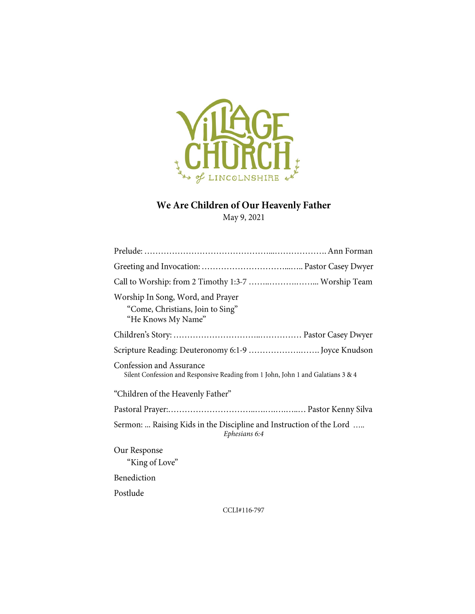

# We Are Children of Our Heavenly Father

May 9, 2021

| Call to Worship: from 2 Timothy 1:3-7  Worship Team                                                          |
|--------------------------------------------------------------------------------------------------------------|
| Worship In Song, Word, and Prayer<br>"Come, Christians, Join to Sing"<br>"He Knows My Name"                  |
|                                                                                                              |
| Scripture Reading: Deuteronomy 6:1-9  Joyce Knudson                                                          |
| Confession and Assurance<br>Silent Confession and Responsive Reading from 1 John, John 1 and Galatians 3 & 4 |
| "Children of the Heavenly Father"                                                                            |
|                                                                                                              |
| Sermon:  Raising Kids in the Discipline and Instruction of the Lord<br>Ephesians 6:4                         |
| Our Response<br>"King of Love"                                                                               |
| Benediction                                                                                                  |
| Postlude                                                                                                     |

CCLI#116-797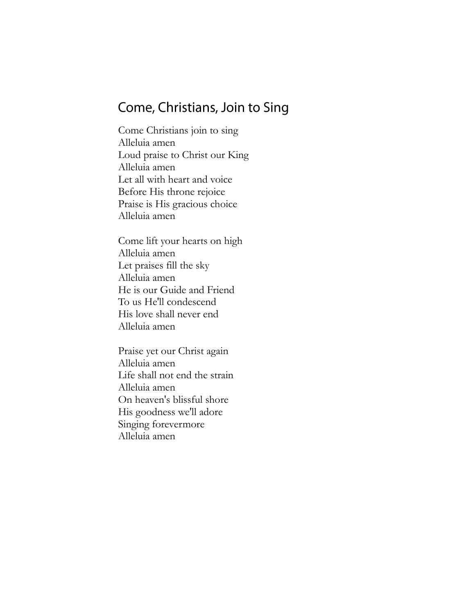### Come, Christians, Join to Sing

Come Christians join to sing Alleluia amen Loud praise to Christ our King Alleluia amen Let all with heart and voice Before His throne rejoice Praise is His gracious choice Alleluia amen

Come lift your hearts on high Alleluia amen Let praises fill the sky Alleluia amen He is our Guide and Friend To us He'll condescend His love shall never end Alleluia amen

Praise yet our Christ again Alleluia amen Life shall not end the strain Alleluia amen On heaven's blissful shore His goodness we'll adore Singing forevermore Alleluia amen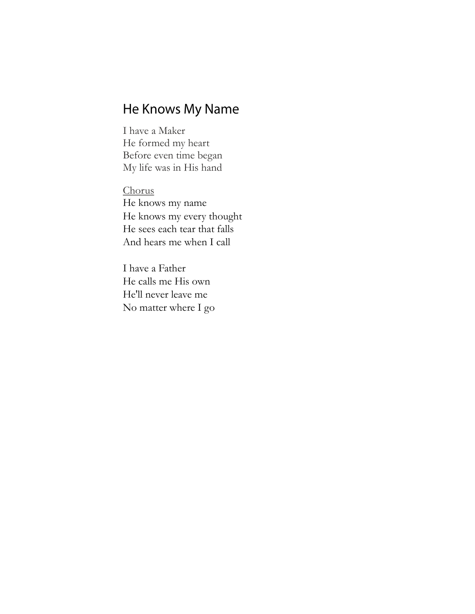# He Knows My Name

I have a Maker He formed my heart Before even time began My life was in His hand

Chorus He knows my name He knows my every thought He sees each tear that falls And hears me when I call

I have a Father He calls me His own He'll never leave me No matter where I go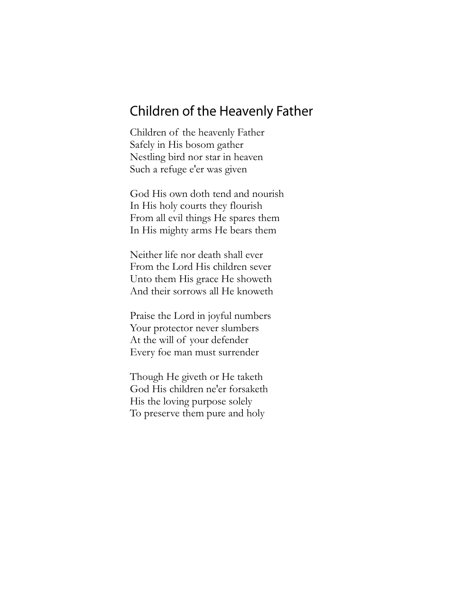### Children of the Heavenly Father

Children of the heavenly Father Safely in His bosom gather Nestling bird nor star in heaven Such a refuge e'er was given

God His own doth tend and nourish In His holy courts they flourish From all evil things He spares them In His mighty arms He bears them

Neither life nor death shall ever From the Lord His children sever Unto them His grace He showeth And their sorrows all He knoweth

Praise the Lord in joyful numbers Your protector never slumbers At the will of your defender Every foe man must surrender

Though He giveth or He taketh God His children ne'er forsaketh His the loving purpose solely To preserve them pure and holy